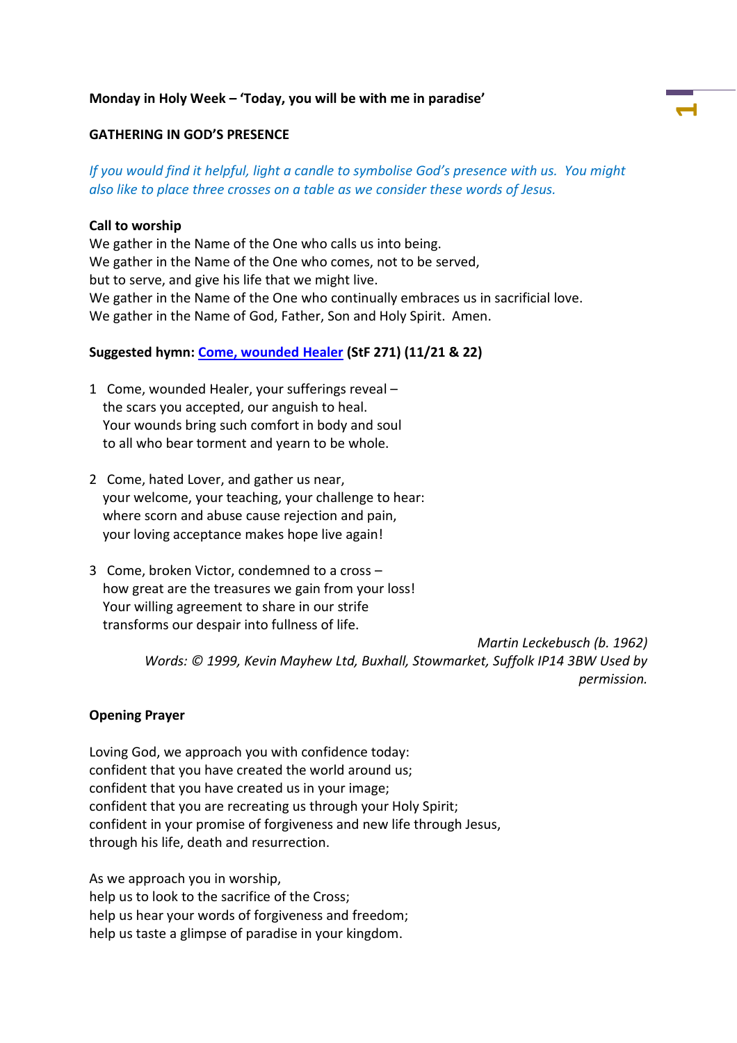### **Monday in Holy Week – 'Today, you will be with me in paradise'**

#### **GATHERING IN GOD'S PRESENCE**

*If you would find it helpful, light a candle to symbolise God's presence with us. You might also like to place three crosses on a table as we consider these words of Jesus.*

**1**

#### **Call to worship**

We gather in the Name of the One who calls us into being. We gather in the Name of the One who comes, not to be served, but to serve, and give his life that we might live. We gather in the Name of the One who continually embraces us in sacrificial love. We gather in the Name of God, Father, Son and Holy Spirit. Amen.

#### **Suggested hymn: [Come, wounded Healer](https://www.methodist.org.uk/our-faith/worship/singing-the-faith-plus/hymns/come-wounded-healer-your-sufferings-reveal-stf-271i/) (StF 271) (11/21 & 22)**

- 1 Come, wounded Healer, your sufferings reveal the scars you accepted, our anguish to heal. Your wounds bring such comfort in body and soul to all who bear torment and yearn to be whole.
- 2 Come, hated Lover, and gather us near, your welcome, your teaching, your challenge to hear: where scorn and abuse cause rejection and pain, your loving acceptance makes hope live again!
- 3 Come, broken Victor, condemned to a cross how great are the treasures we gain from your loss! Your willing agreement to share in our strife transforms our despair into fullness of life.

*Martin Leckebusch (b. 1962) Words: © 1999, Kevin Mayhew Ltd, Buxhall, Stowmarket, Suffolk IP14 3BW Used by permission.*

#### **Opening Prayer**

Loving God, we approach you with confidence today: confident that you have created the world around us; confident that you have created us in your image; confident that you are recreating us through your Holy Spirit; confident in your promise of forgiveness and new life through Jesus, through his life, death and resurrection.

As we approach you in worship, help us to look to the sacrifice of the Cross; help us hear your words of forgiveness and freedom; help us taste a glimpse of paradise in your kingdom.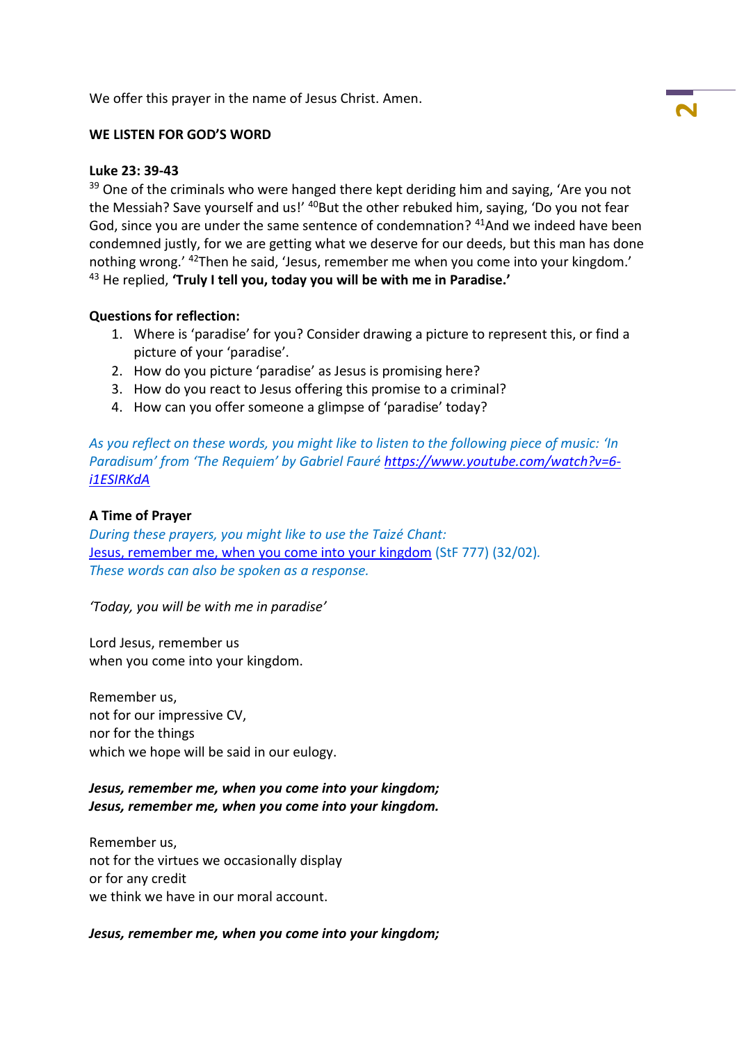We offer this prayer in the name of Jesus Christ. Amen.

## **WE LISTEN FOR GOD'S WORD**

#### **Luke 23: 39-43**

<sup>39</sup> One of the criminals who were hanged there kept deriding him and saying, 'Are you not the Messiah? Save yourself and us!' <sup>40</sup>But the other rebuked him, saying, 'Do you not fear God, since you are under the same sentence of condemnation? <sup>41</sup>And we indeed have been condemned justly, for we are getting what we deserve for our deeds, but this man has done nothing wrong.' <sup>42</sup>Then he said, 'Jesus, remember me when you come into your kingdom.' <sup>43</sup> He replied, **'Truly I tell you, today you will be with me in Paradise.'**

#### **Questions for reflection:**

- 1. Where is 'paradise' for you? Consider drawing a picture to represent this, or find a picture of your 'paradise'.
- 2. How do you picture 'paradise' as Jesus is promising here?
- 3. How do you react to Jesus offering this promise to a criminal?
- 4. How can you offer someone a glimpse of 'paradise' today?

*As you reflect on these words, you might like to listen to the following piece of music: 'In Paradisum' from 'The Requiem' by Gabriel Fauré [https://www.youtube.com/watch?v=6](https://www.youtube.com/watch?v=6-i1ESIRKdA) [i1ESIRKdA](https://www.youtube.com/watch?v=6-i1ESIRKdA)*

### **A Time of Prayer**

*During these prayers, you might like to use the Taizé Chant:* [Jesus, remember me, when you come into your kingdom](https://www.methodist.org.uk/our-faith/worship/singing-the-faith-plus/hymns/jesus-remember-me-stf-777/) (StF 777) (32/02)*. These words can also be spoken as a response.*

*'Today, you will be with me in paradise'*

Lord Jesus, remember us when you come into your kingdom.

Remember us, not for our impressive CV, nor for the things which we hope will be said in our eulogy.

## *Jesus, remember me, when you come into your kingdom; Jesus, remember me, when you come into your kingdom.*

Remember us, not for the virtues we occasionally display or for any credit we think we have in our moral account.

## *Jesus, remember me, when you come into your kingdom;*

**2**